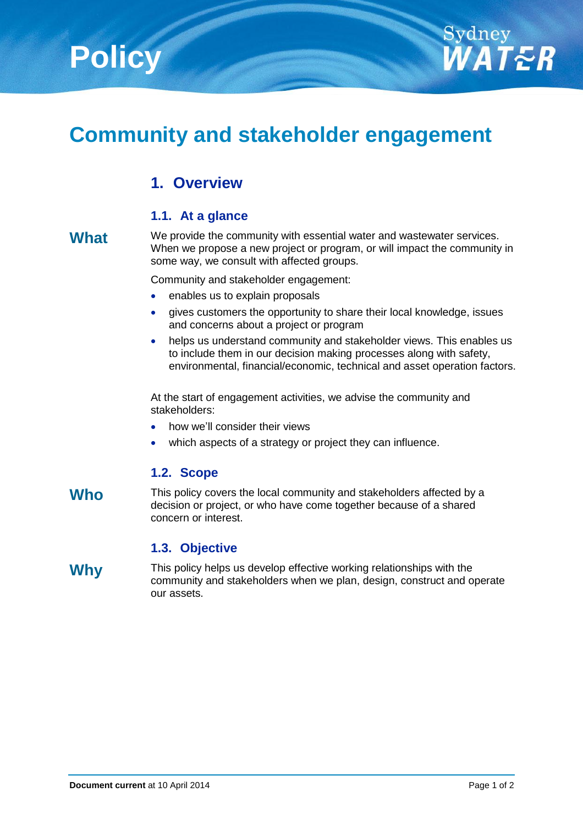



# **Community and stakeholder engagement**

## **1. Overview**

#### **1.1. At a glance**

**What** We provide the community with essential water and wastewater services. When we propose a new project or program, or will impact the community in some way, we consult with affected groups.

Community and stakeholder engagement:

- enables us to explain proposals
- gives customers the opportunity to share their local knowledge, issues and concerns about a project or program
- helps us understand community and stakeholder views. This enables us to include them in our decision making processes along with safety, environmental, financial/economic, technical and asset operation factors.

At the start of engagement activities, we advise the community and stakeholders:

- how we'll consider their views
- which aspects of a strategy or project they can influence.

### **1.2. Scope**

Who This policy covers the local community and stakeholders affected by a decision or project, or who have come together because of a shared concern or interest.

#### **1.3. Objective**

**Why** This policy helps us develop effective working relationships with the community and stakeholders when we plan, design, construct and operate our assets.